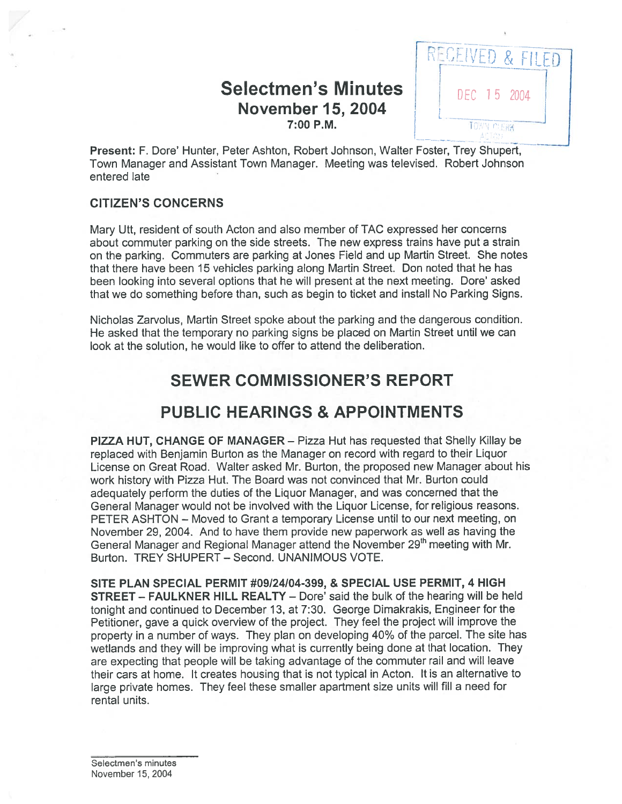# Selectmen's Minutes **DEC 15 2004 November 15, 2004**



Present: F. Dore' Hunter, Peter Ashton, Robert Johnson, Walter Foster, Trey Shupert, Town Manager and Assistant Town Manager. Meeting was televised. Robert Johnson entered late

#### CITIZEN'S CONCERNS

Mary Utt, resident of south Acton and also member of TAO expressed her concerns about commuter parking on the side streets. The new express trains have pu<sup>t</sup> <sup>a</sup> strain on the parking. Commuters are parking at Jones Field and up Martin Street. She notes that there have been 15 vehicles parking along Martin Street. Don noted that he has been looking into several options that he will presen<sup>t</sup> at the next meeting. Dore' asked that we do something before than, such as begin to ticket and install No Parking Signs.

Nicholas Zarvolus, Martin Street spoke about the parking and the dangerous condition. He asked that the temporary no parking signs be placed on Martin Street until we can look at the solution, he would like to offer to attend the deliberation.

# SEWER COMMISSIONER'S REPORT

# PUBLIC HEARINGS & APPOINTMENTS

PIZZA HUT, CHANGE OF MANAGER — Pizza Hut has requested that Shelly Killay be replaced with Benjamin Burton as the Manager on record with regard to their Liquor License on Great Road. Walter asked Mr. Burton, the proposed new Manager about his work history with Pizza Hut. The Board was not convinced that Mr. Burton could adequately perform the duties of the Liquor Manager, and was concerned that the General Manager would not be involved with the Liquor License, for religious reasons. PETER ASHTON — Moved to Grant <sup>a</sup> temporary License until to our next meeting, on November 29, 2004. And to have them provide new paperwork as well as having the General Manager and Regional Manager attend the November 29<sup>th</sup> meeting with Mr. Burton. TREY SHUPERT — Second. UNANIMOUS VOTE.

SITE PLAN SPECIAL PERMIT #09/24104-399, & SPECIAL USE PERMIT, 4 HIGH STREET — FAULKNER HILL REALTY — Dore' said the bulk of the hearing will be held tonight and continued to December 13, at 7:30. George Dimakrakis, Engineer for the Petitioner, gave <sup>a</sup> quick overview of the project. They feel the project will improve the property in <sup>a</sup> number of ways. They <sup>p</sup>lan on developing 40% of the parcel. The site has wetlands and they will be improving what is currently being done at that location. They are expecting that people will be taking advantage of the commuter rail and will leave their cars at home. It creates housing that is not typical in Acton. It is an alternative to large private homes. They feel these smaller apartment size units will fill <sup>a</sup> need for rental units.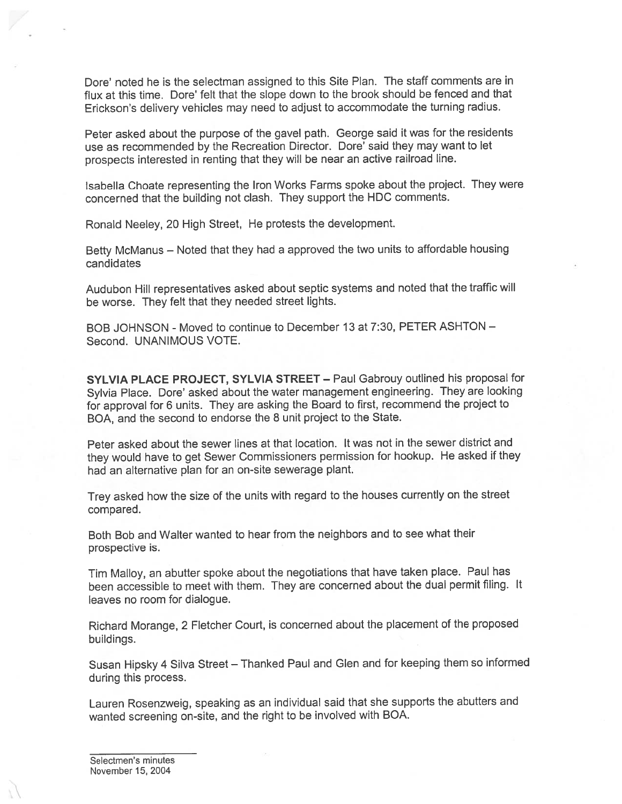Dote' noted he is the selectman assigned to this Site Plan. The staff comments are in flux at this time. Dore' felt that the slope down to the brook should be fenced and that Erickson's delivery vehicles may need to adjust to accommodate the turning radius.

Peter asked about the purpose of the gave<sup>l</sup> path. George said it was for the residents use as recommended by the Recreation Director. Dote' said they may want to let prospects interested in renting that they will be near an active railroad line.

Isabella Choate representing the Iron Works Farms spoke about the project. They were concerned that the building not clash. They suppor<sup>t</sup> the HDC comments.

Ronald Neeley, <sup>20</sup> High Street, He protests the development.

Betty McManus — Noted that they had <sup>a</sup> approve<sup>d</sup> the two units to affordable housing candidates

Audubon Hill representatives asked about septic systems and noted that the traffic will be worse. They felt that they needed street lights.

BOB JOHNSON - Moved to continue to December 13 at 7:30, PETER ASHTON — Second. UNANIMOUS VOTE.

SYLVIA PLACE PROJECT, SYLVIA STREET — Paul Gabrouy outlined his proposal for Sylvia Place. Dore' asked about the water management engineering. They are looking for approva<sup>l</sup> for <sup>6</sup> units. They are asking the Board to first, recommend the project to BOA, and the second to endorse the 8 unit project to the State.

Peter asked about the sewer lines at that location. It was not in the sewer district and they would have to ge<sup>t</sup> Sewer Commissioners permission for hookup. He asked if they had an alternative plan for an on-site sewerage plant.

Trey asked how the size of the units with regar<sup>d</sup> to the houses currently on the street compared.

Both Bob and Walter wanted to hear from the neighbors and to see what their prospective is.

Tim Malloy, an abutter spoke about the negotiations that have taken <sup>p</sup>lace. Paul has been accessible to meet with them. They are concerned about the dual permit filing. It leaves no room for dialogue.

Richard Morange, <sup>2</sup> Fletcher Court, is concerned about the <sup>p</sup>lacement of the propose<sup>d</sup> buildings.

Susan Hipsky <sup>4</sup> Silva Street — Thanked Paul and Glen and for keeping them so informed during this process.

Lauren Rosenzweig, speaking as an individual said that she supports the abutters and wanted screening on-site, and the right to be involved with BOA.

Selectmen's minutes November 15, 2004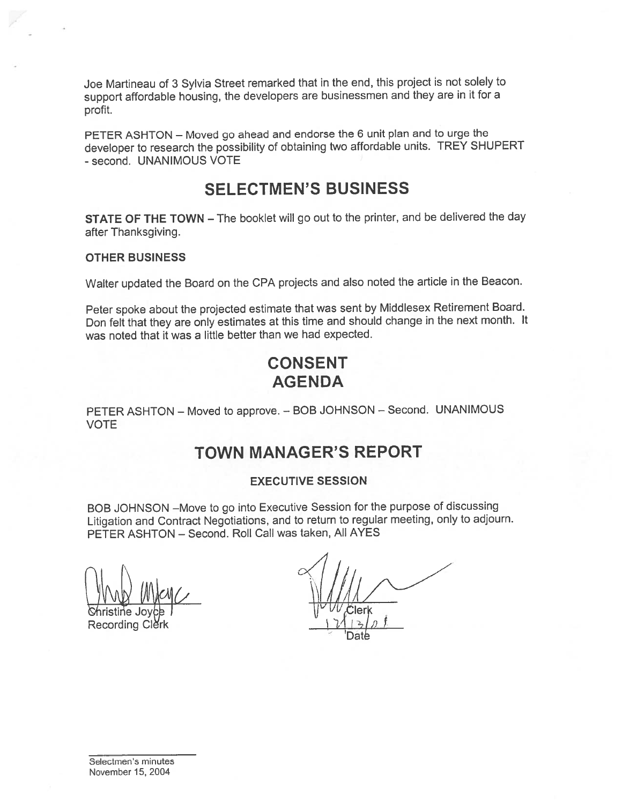Joe Martineau of <sup>3</sup> Sylvia Street remarked that in the end, this project is not solely to suppor<sup>t</sup> affordable housing, the developers are businessmen and they are in it for <sup>a</sup> profit.

PETER ASHTON — Moved go ahead and endorse the <sup>6</sup> unit <sup>p</sup>lan and to urge the developer to research the possibility of obtaining two affordable units. TREY SHUPERT -second. UNANIMOUS VOTE

## SELECTMEN'S BUSINESS

STATE OF THE TOWN — The booklet will go out to the printer, and be delivered the day after Thanksgiving.

#### OTHER BUSINESS

Walter updated the Board on the CPA projects and also noted the article in the Beacon.

Peter spoke about the projected estimate that was sent by Middlesex Retirement Board. Don felt that they are only estimates at this time and should change in the next month. It was noted that it was <sup>a</sup> little better than we had expected.

# CONSENT AGENDA

PETER ASHTON — Moved to approve. — BOB JOHNSON — Second. UNANIMOUS VOTE

# TOWN MANAGER'S REPORT

#### EXECUTIVE SESSION

BOB JOHNSON —Move to go into Executive Session for the purpose of discussing Litigation and Contract Negotiations, and to return to regular meeting, only to adjourn. PETER ASHTON — Second. Roll Call was taken, All AYES

 $\frac{1}{\sqrt{1-\frac{1}{\sqrt{1-\frac{1}{\sqrt{1-\frac{1}{\sqrt{1-\frac{1}{\sqrt{1-\frac{1}{\sqrt{1-\frac{1}{\sqrt{1-\frac{1}{\sqrt{1-\frac{1}{\sqrt{1-\frac{1}{\sqrt{1-\frac{1}{\sqrt{1-\frac{1}{\sqrt{1-\frac{1}{\sqrt{1-\frac{1}{\sqrt{1-\frac{1}{\sqrt{1-\frac{1}{\sqrt{1-\frac{1}{\sqrt{1-\frac{1}{\sqrt{1-\frac{1}{\sqrt{1-\frac{1}{\sqrt{1-\frac{1}{\sqrt{1-\frac{1}{\sqrt{1-\frac{1}{\sqrt{1-\frac{1}{\sqrt{1-\frac{1$ 

Recording Cle

Date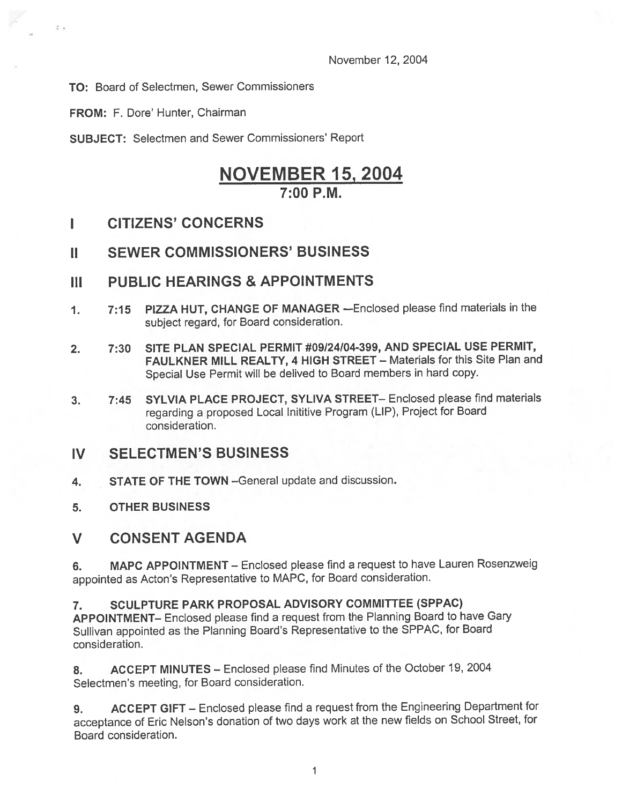November 12, 2004

TO: Board of Selectmen, Sewer Commissioners

FROM: F. Dore' Hunter, Chairman

 $\overline{z}$ 

SUBJECT: Selectmen and Sewer Commissioners' Report

# NOVEMBER 15, 2004  $7:00 P M$ .

- I CITIZENS' CONCERNS
- II SEWER COMMISSIONERS' BUSINESS

## III PUBLIC HEARINGS & APPOINTMENTS

- 1. 7:15 PIZZA HUT, CHANGE OF MANAGER —Enclosed <sup>p</sup>lease find materials in the subject regard, for Board consideration.
- 2. 7:30 SITE PLAN SPECIAL PERMIT #09124/04-399, AND SPECIAL USE PERMIT, FAULKNER MILL REALTY, 4 HIGH STREET — Materials for this Site Plan and Special Use Permit will be delived to Board members in hard copy.
- 3. 7:45 SYLVIA PLACE PROJECT, SYLIVA STREET— Enclosed please find materials regarding <sup>a</sup> propose<sup>d</sup> Local Inititive Program (LIP), Project for Board consideration.

## IV SELECTMEN'S BUSINESS

- 4. STATE OF THE TOWN —General update and discussion.
- 5. OTHER BUSINESS

## V CONSENT AGENDA

6. MAPC APPOINTMENT — Enclosed <sup>p</sup>lease find <sup>a</sup> reques<sup>t</sup> to have Lauren Rosenzweig appointed as Acton's Representative to MAPC, for Board consideration.

7. SCULPTURE PARK PROPOSAL ADVISORY COMMITTEE (SPPAC) APPOINTMENT— Enclosed <sup>p</sup>lease find <sup>a</sup> reques<sup>t</sup> from the Planning Board to have Gary Sullivan appointed as the Planning Board's Representative to the SPPAC, for Board consideration.

8. ACCEPT MINUTES — Enclosed <sup>p</sup>lease find Minutes of the October 19, <sup>2004</sup> Selectmen's meeting, for Board consideration.

9. ACCEPT GIFT — Enclosed <sup>p</sup>lease find <sup>a</sup> reques<sup>t</sup> from the Engineering Department for acceptance of Eric Nelson's donation of two days work at the new fields on School Street, for Board consideration.